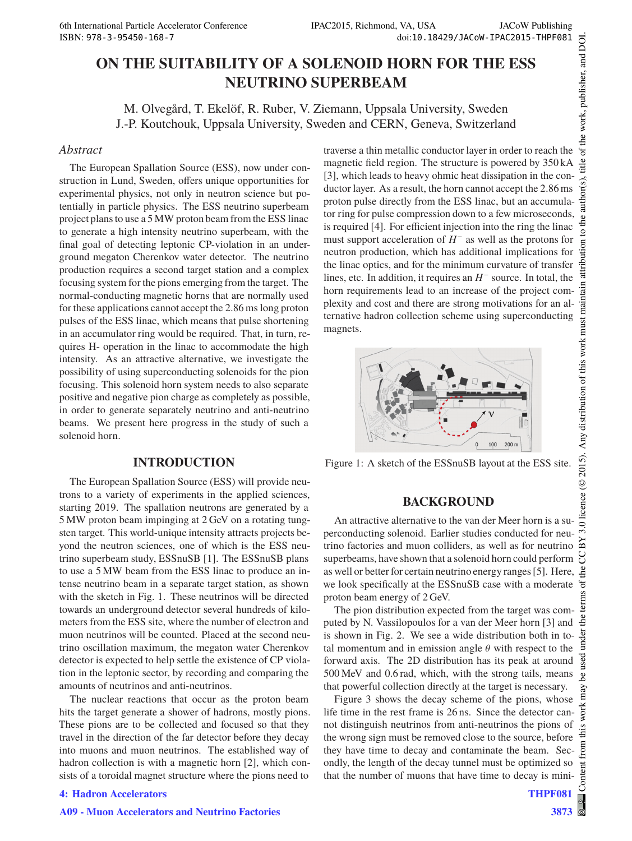# **ON THE SUITABILITY OF A SOLENOID HORN FOR THE ESS NEUTRINO SUPERBEAM**

M. Olvegård, T. Ekelöf, R. Ruber, V. Ziemann, Uppsala University, Sweden J.-P. Koutchouk, Uppsala University, Sweden and CERN, Geneva, Switzerland

#### *Abstract*

The European Spallation Source (ESS), now under construction in Lund, Sweden, offers unique opportunities for experimental physics, not only in neutron science but potentially in particle physics. The ESS neutrino superbeam project plans to use a 5 MW proton beam from the ESS linac to generate a high intensity neutrino superbeam, with the final goal of detecting leptonic CP-violation in an underground megaton Cherenkov water detector. The neutrino production requires a second target station and a complex focusing system for the pions emerging from the target. The normal-conducting magnetic horns that are normally used for these applications cannot accept the 2.86 ms long proton pulses of the ESS linac, which means that pulse shortening in an accumulator ring would be required. That, in turn, requires H- operation in the linac to accommodate the high intensity. As an attractive alternative, we investigate the possibility of using superconducting solenoids for the pion focusing. This solenoid horn system needs to also separate positive and negative pion charge as completely as possible, in order to generate separately neutrino and anti-neutrino beams. We present here progress in the study of such a solenoid horn.

#### **INTRODUCTION**

The European Spallation Source (ESS) will provide neutrons to a variety of experiments in the applied sciences, starting 2019. The spallation neutrons are generated by a 5 MW proton beam impinging at 2 GeV on a rotating tungsten target. This world-unique intensity attracts projects beyond the neutron sciences, one of which is the ESS neutrino superbeam study, ESSnuSB [1]. The ESSnuSB plans to use a 5 MW beam from the ESS linac to produce an intense neutrino beam in a separate target station, as shown with the sketch in Fig. 1. These neutrinos will be directed towards an underground detector several hundreds of kilometers from the ESS site, where the number of electron and muon neutrinos will be counted. Placed at the second neutrino oscillation maximum, the megaton water Cherenkov detector is expected to help settle the existence of CP violation in the leptonic sector, by recording and comparing the amounts of neutrinos and anti-neutrinos.

The nuclear reactions that occur as the proton beam hits the target generate a shower of hadrons, mostly pions. These pions are to be collected and focused so that they travel in the direction of the far detector before they decay into muons and muon neutrinos. The established way of hadron collection is with a magnetic horn [2], which consists of a toroidal magnet structure where the pions need to

**4: Hadron Accelerators**

traverse a thin metallic conductor layer in order to reach the magnetic field region. The structure is powered by 350 kA [3], which leads to heavy ohmic heat dissipation in the conductor layer. As a result, the horn cannot accept the 2.86 ms proton pulse directly from the ESS linac, but an accumulator ring for pulse compression down to a few microseconds, is required [4]. For efficient injection into the ring the linac must support acceleration of *H*<sup>−</sup> as well as the protons for neutron production, which has additional implications for the linac optics, and for the minimum curvature of transfer lines, etc. In addition, it requires an *H*<sup>−</sup> source. In total, the horn requirements lead to an increase of the project complexity and cost and there are strong motivations for an alternative hadron collection scheme using superconducting magnets.



Figure 1: A sketch of the ESSnuSB layout at the ESS site.

#### **BACKGROUND**

An attractive alternative to the van der Meer horn is a superconducting solenoid. Earlier studies conducted for neutrino factories and muon colliders, as well as for neutrino superbeams, have shown that a solenoid horn could perform as well or better for certain neutrino energy ranges [5]. Here, we look specifically at the ESSnuSB case with a moderate proton beam energy of 2 GeV.

The pion distribution expected from the target was computed by N. Vassilopoulos for a van der Meer horn [3] and is shown in Fig. 2. We see a wide distribution both in total momentum and in emission angle  $\theta$  with respect to the forward axis. The 2D distribution has its peak at around 500 MeV and 0.6 rad, which, with the strong tails, means that powerful collection directly at the target is necessary.

Figure 3 shows the decay scheme of the pions, whose life time in the rest frame is 26 ns. Since the detector cannot distinguish neutrinos from anti-neutrinos the pions of the wrong sign must be removed close to the source, before they have time to decay and contaminate the beam. Secondly, the length of the decay tunnel must be optimized so that the number of muons that have time to decay is mini-

title of the work, publisher, and DOI.

maintair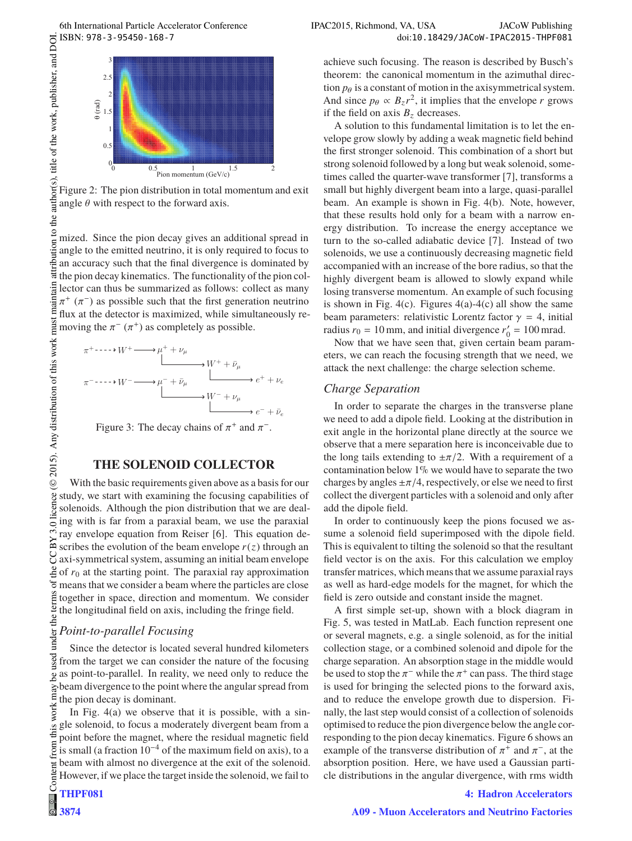

author(s), title of the work, publisher, and DOI. Figure 2: The pion distribution in total momentum and exit angle  $\theta$  with respect to the forward axis.

the

mized. Since the pion decay gives an additional spread in angle to the emitted neutrino, it is only required to focus to an accuracy such that the final divergence is dominated by the pion decay kinematics. The functionality of the pion collector can thus be summarized as follows: collect as many  $\pi^+$  ( $\pi^-$ ) as possible such that the first generation neutrino flux at the detector is maximized, while simultaneously removing the  $\pi^{-}(\pi^{+})$  as completely as possible.  $\circledcirc$  2015). Any distribution of this work must maintain attribution to the author(s), title of the work, publisher, and DOI.



Figure 3: The decay chains of  $\pi^+$  and  $\pi^-$ .

#### **THE SOLENOID COLLECTOR**

 $\alpha$  (© 2015). Any distribution of this work must With the basic requirements given above as a basis for our Content from this work may be used under the terms of the CC BY 3.0 licence ( $\epsilon$ study, we start with examining the focusing capabilities of licen solenoids. Although the pion distribution that we are dealing with is far from a paraxial beam, we use the paraxial ray envelope equation from Reiser [6]. This equation describes the evolution of the beam envelope  $r(z)$  through an axi-symmetrical system, assuming an initial beam envelope  $\frac{3}{2}$  of  $r_0$  at the starting point. The paraxial ray approximation means that we consider a beam where the particles are close under the terms together in space, direction and momentum. We consider the longitudinal field on axis, including the fringe field.

## *Point-to-parallel Focusing*

Since the detector is located several hundred kilometers from the target we can consider the nature of the focusing as point-to-parallel. In reality, we need only to reduce the beam divergence to the point where the angular spread from the pion decay is dominant.

In Fig. 4(a) we observe that it is possible, with a single solenoid, to focus a moderately divergent beam from a this point before the magnet, where the residual magnetic field from is small (a fraction  $10^{-4}$  of the maximum field on axis), to a beam with almost no divergence at the exit of the solenoid. Content However, if we place the target inside the solenoid, we fail to

**THPF081**  $\frac{1}{10}$ **3874**

achieve such focusing. The reason is described by Busch's theorem: the canonical momentum in the azimuthal direction  $p_{\theta}$  is a constant of motion in the axisymmetrical system. And since  $p_\theta \propto B_z r^2$ , it implies that the envelope *r* grows if the field on axis  $B_z$  decreases.

A solution to this fundamental limitation is to let the envelope grow slowly by adding a weak magnetic field behind the first stronger solenoid. This combination of a short but strong solenoid followed by a long but weak solenoid, sometimes called the quarter-wave transformer [7], transforms a small but highly divergent beam into a large, quasi-parallel beam. An example is shown in Fig. 4(b). Note, however, that these results hold only for a beam with a narrow energy distribution. To increase the energy acceptance we turn to the so-called adiabatic device [7]. Instead of two solenoids, we use a continuously decreasing magnetic field accompanied with an increase of the bore radius, so that the highly divergent beam is allowed to slowly expand while losing transverse momentum. An example of such focusing is shown in Fig. 4(c). Figures  $4(a)-4(c)$  all show the same beam parameters: relativistic Lorentz factor  $\gamma = 4$ , initial radius  $r_0 = 10$  mm, and initial divergence  $r'_0 = 100$  mrad.

Now that we have seen that, given certain beam parameters, we can reach the focusing strength that we need, we attack the next challenge: the charge selection scheme.

## *Charge Separation*

In order to separate the charges in the transverse plane we need to add a dipole field. Looking at the distribution in exit angle in the horizontal plane directly at the source we observe that a mere separation here is inconceivable due to the long tails extending to  $\pm \pi/2$ . With a requirement of a contamination below 1% we would have to separate the two charges by angles  $\pm \pi/4$ , respectively, or else we need to first collect the divergent particles with a solenoid and only after add the dipole field.

In order to continuously keep the pions focused we assume a solenoid field superimposed with the dipole field. This is equivalent to tilting the solenoid so that the resultant field vector is on the axis. For this calculation we employ transfer matrices, which means that we assume paraxial rays as well as hard-edge models for the magnet, for which the field is zero outside and constant inside the magnet.

A first simple set-up, shown with a block diagram in Fig. 5, was tested in MatLab. Each function represent one or several magnets, e.g. a single solenoid, as for the initial collection stage, or a combined solenoid and dipole for the charge separation. An absorption stage in the middle would be used to stop the  $\pi^-$  while the  $\pi^+$  can pass. The third stage is used for bringing the selected pions to the forward axis, and to reduce the envelope growth due to dispersion. Finally, the last step would consist of a collection of solenoids optimised to reduce the pion divergence below the angle corresponding to the pion decay kinematics. Figure 6 shows an example of the transverse distribution of  $\pi^+$  and  $\pi^-$ , at the absorption position. Here, we have used a Gaussian particle distributions in the angular divergence, with rms width

**4: Hadron Accelerators**